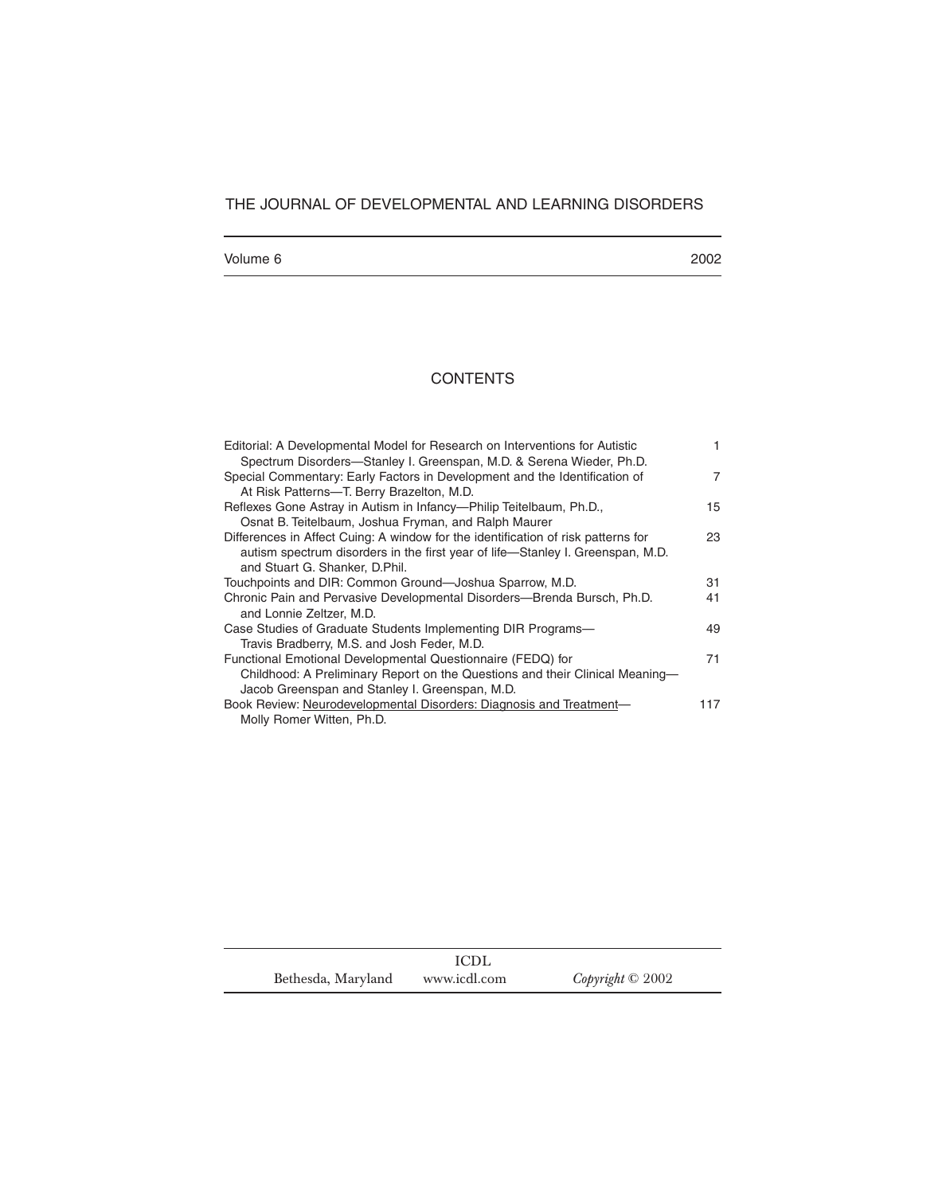# THE JOURNAL OF DEVELOPMENTAL AND LEARNING DISORDERS

## Volume 6 2002

# **CONTENTS**

| Editorial: A Developmental Model for Research on Interventions for Autistic<br>Spectrum Disorders-Stanley I. Greenspan, M.D. & Serena Wieder, Ph.D.                                                   |     |
|-------------------------------------------------------------------------------------------------------------------------------------------------------------------------------------------------------|-----|
| Special Commentary: Early Factors in Development and the Identification of<br>At Risk Patterns-T. Berry Brazelton, M.D.                                                                               | 7   |
| Reflexes Gone Astray in Autism in Infancy--Philip Teitelbaum, Ph.D.,<br>Osnat B. Teitelbaum, Joshua Fryman, and Ralph Maurer                                                                          | 15  |
| Differences in Affect Cuing: A window for the identification of risk patterns for<br>autism spectrum disorders in the first year of life-Stanley I. Greenspan, M.D.<br>and Stuart G. Shanker, D.Phil. | 23  |
| Touchpoints and DIR: Common Ground-Joshua Sparrow, M.D.                                                                                                                                               | 31  |
| Chronic Pain and Pervasive Developmental Disorders—Brenda Bursch, Ph.D.<br>and Lonnie Zeltzer, M.D.                                                                                                   | 41  |
| Case Studies of Graduate Students Implementing DIR Programs—<br>Travis Bradberry, M.S. and Josh Feder, M.D.                                                                                           | 49  |
| Functional Emotional Developmental Questionnaire (FEDQ) for<br>Childhood: A Preliminary Report on the Questions and their Clinical Meaning-<br>Jacob Greenspan and Stanley I. Greenspan, M.D.         | 71  |
| Book Review: Neurodevelopmental Disorders: Diagnosis and Treatment-<br>Molly Romer Witten, Ph.D.                                                                                                      | 117 |

|                    | <b>ICDL</b>  |                  |
|--------------------|--------------|------------------|
| Bethesda, Maryland | www.icdl.com | Copyright © 2002 |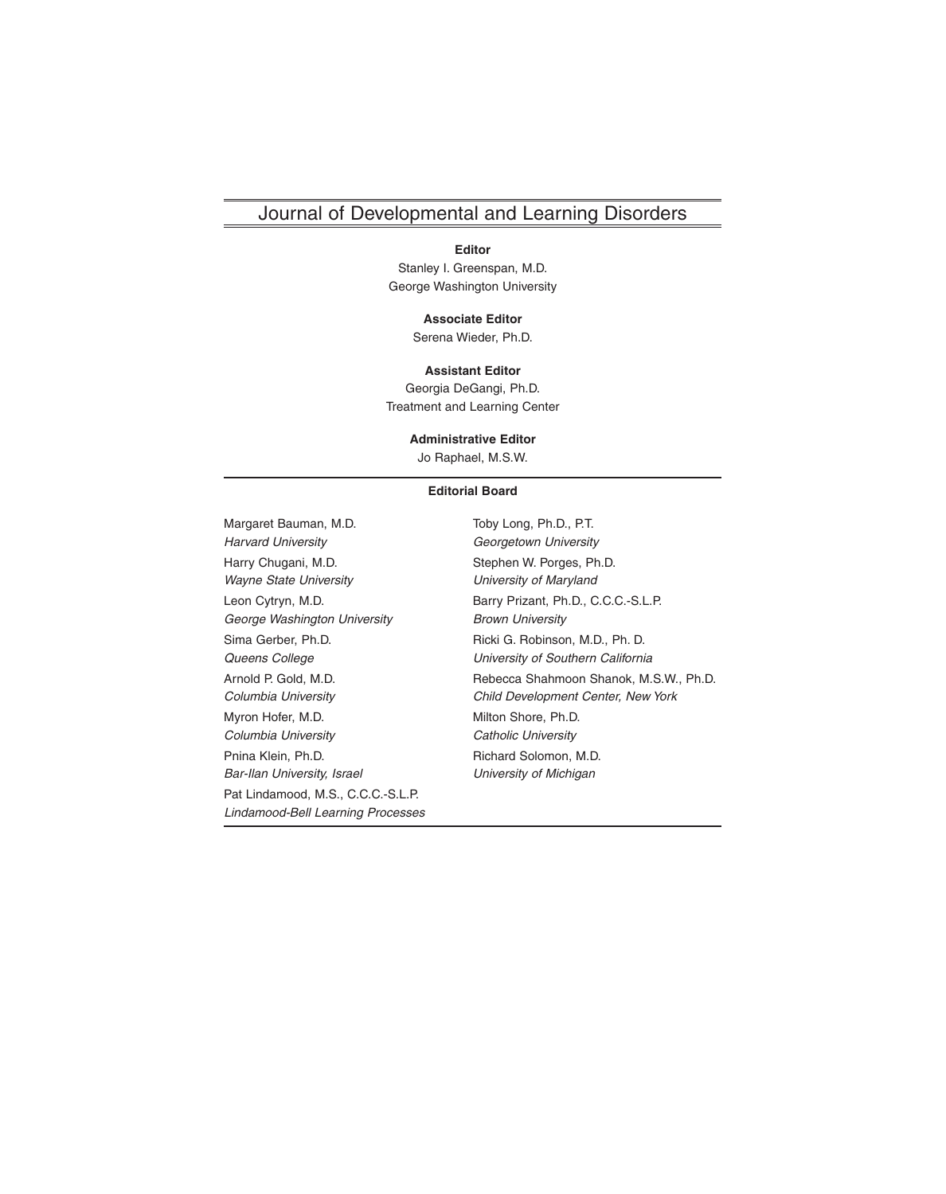# Journal of Developmental and Learning Disorders

#### **Editor**

Stanley I. Greenspan, M.D. George Washington University

#### **Associate Editor**

Serena Wieder, Ph.D.

**Assistant Editor** Georgia DeGangi, Ph.D. Treatment and Learning Center

### **Administrative Editor**

Jo Raphael, M.S.W.

### **Editorial Board**

Margaret Bauman, M.D. Toby Long, Ph.D., P.T. Harvard University Georgetown University Harry Chugani, M.D. Stephen W. Porges, Ph.D. Wayne State University **Wayne State University** George Washington University **Brown University** Sima Gerber, Ph.D. **Ricki G. Robinson, M.D., Ph. D.** Queens College **No. 2018** University of Southern California Myron Hofer, M.D. Milton Shore, Ph.D. Columbia University **Columbia University** Catholic University Pnina Klein, Ph.D. **Richard Solomon, M.D.** Richard Solomon, M.D. Bar-Ilan University, Israel **Example 20 University of Michigan** Pat Lindamood, M.S., C.C.C.-S.L.P. Lindamood-Bell Learning Processes

Leon Cytryn, M.D. **Barry Prizant, Ph.D., C.C.C.-S.L.P.** Barry Prizant, Ph.D., C.C.C.-S.L.P. Arnold P. Gold, M.D. Rebecca Shahmoon Shanok, M.S.W., Ph.D. Columbia University Child Development Center, New York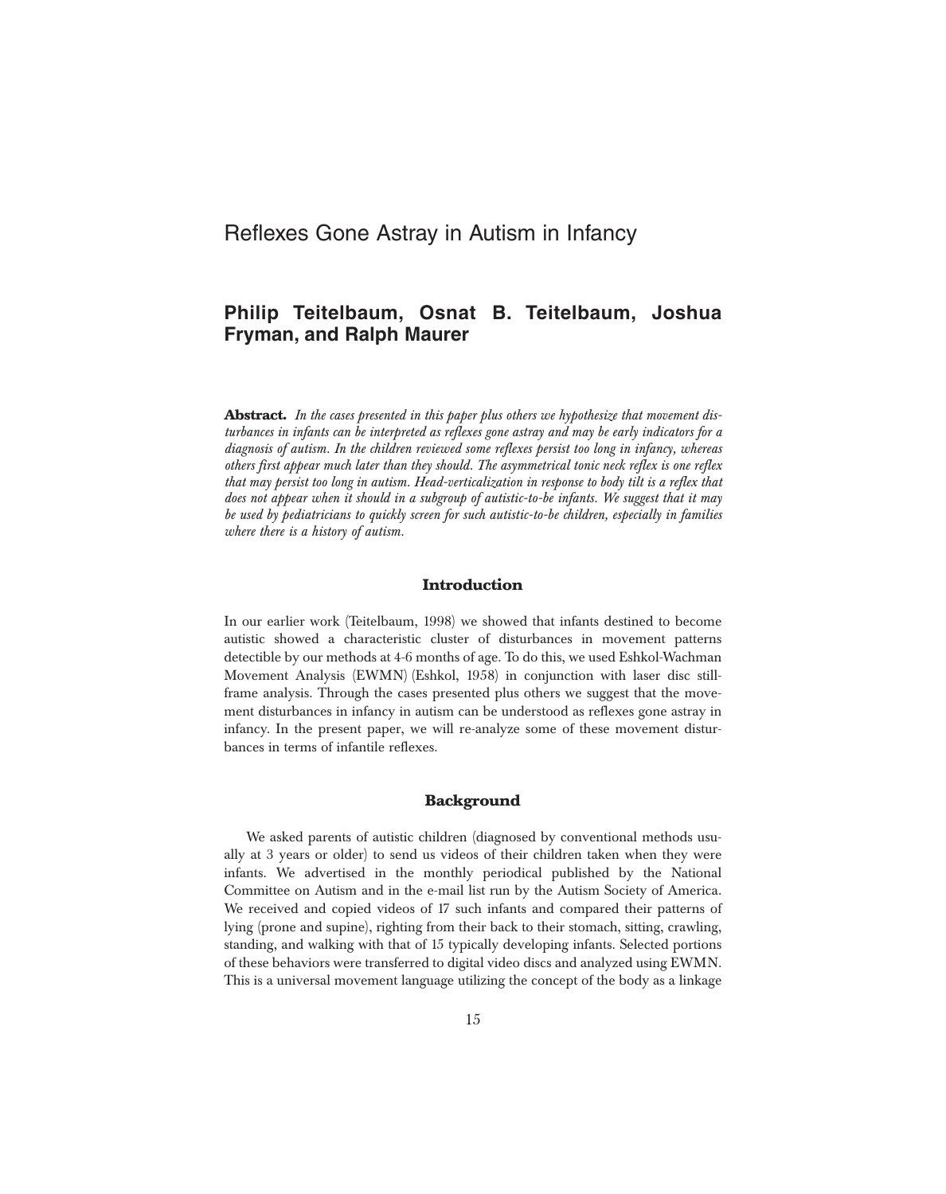# **Philip Teitelbaum, Osnat B. Teitelbaum, Joshua Fryman, and Ralph Maurer**

**Abstract.** *In the cases presented in this paper plus others we hypothesize that movement disturbances in infants can be interpreted as reflexes gone astray and may be early indicators for a diagnosis of autism. In the children reviewed some reflexes persist too long in infancy, whereas others first appear much later than they should. The asymmetrical tonic neck reflex is one reflex that may persist too long in autism. Head-verticalization in response to body tilt is a reflex that does not appear when it should in a subgroup of autistic-to-be infants. We suggest that it may be used by pediatricians to quickly screen for such autistic-to-be children, especially in families where there is a history of autism.* 

## **Introduction**

In our earlier work (Teitelbaum, 1998) we showed that infants destined to become autistic showed a characteristic cluster of disturbances in movement patterns detectible by our methods at 4-6 months of age. To do this, we used Eshkol-Wachman Movement Analysis (EWMN) (Eshkol, 1958) in conjunction with laser disc stillframe analysis. Through the cases presented plus others we suggest that the movement disturbances in infancy in autism can be understood as reflexes gone astray in infancy. In the present paper, we will re-analyze some of these movement disturbances in terms of infantile reflexes.

## **Background**

We asked parents of autistic children (diagnosed by conventional methods usually at 3 years or older) to send us videos of their children taken when they were infants. We advertised in the monthly periodical published by the National Committee on Autism and in the e-mail list run by the Autism Society of America. We received and copied videos of 17 such infants and compared their patterns of lying (prone and supine), righting from their back to their stomach, sitting, crawling, standing, and walking with that of 15 typically developing infants. Selected portions of these behaviors were transferred to digital video discs and analyzed using EWMN. This is a universal movement language utilizing the concept of the body as a linkage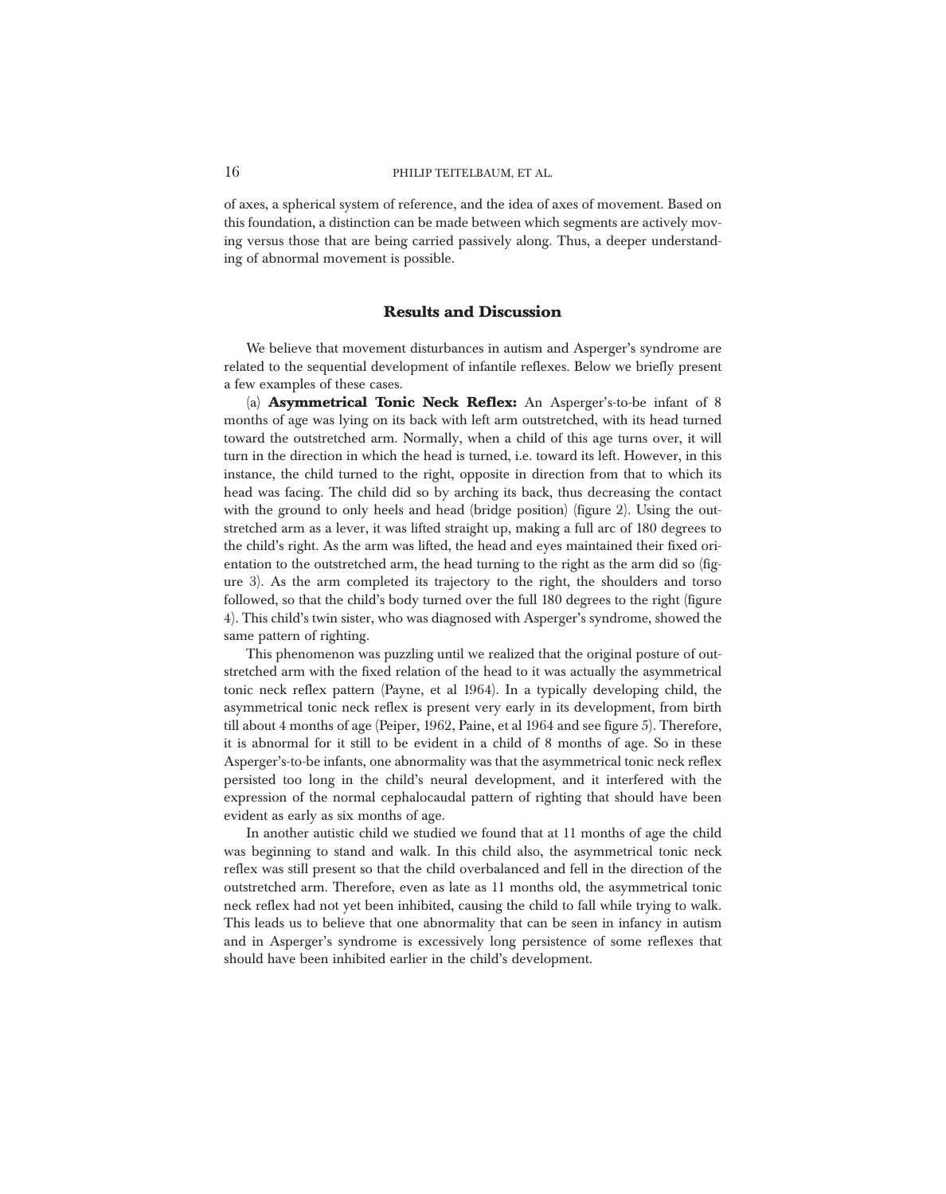of axes, a spherical system of reference, and the idea of axes of movement. Based on this foundation, a distinction can be made between which segments are actively moving versus those that are being carried passively along. Thus, a deeper understanding of abnormal movement is possible.

### **Results and Discussion**

We believe that movement disturbances in autism and Asperger's syndrome are related to the sequential development of infantile reflexes. Below we briefly present a few examples of these cases.

(a) **Asymmetrical Tonic Neck Reflex:** An Asperger's-to-be infant of 8 months of age was lying on its back with left arm outstretched, with its head turned toward the outstretched arm. Normally, when a child of this age turns over, it will turn in the direction in which the head is turned, i.e. toward its left. However, in this instance, the child turned to the right, opposite in direction from that to which its head was facing. The child did so by arching its back, thus decreasing the contact with the ground to only heels and head (bridge position) (figure 2). Using the outstretched arm as a lever, it was lifted straight up, making a full arc of 180 degrees to the child's right. As the arm was lifted, the head and eyes maintained their fixed orientation to the outstretched arm, the head turning to the right as the arm did so (figure 3). As the arm completed its trajectory to the right, the shoulders and torso followed, so that the child's body turned over the full 180 degrees to the right (figure 4). This child's twin sister, who was diagnosed with Asperger's syndrome, showed the same pattern of righting.

This phenomenon was puzzling until we realized that the original posture of outstretched arm with the fixed relation of the head to it was actually the asymmetrical tonic neck reflex pattern (Payne, et al 1964). In a typically developing child, the asymmetrical tonic neck reflex is present very early in its development, from birth till about 4 months of age (Peiper, 1962, Paine, et al 1964 and see figure 5). Therefore, it is abnormal for it still to be evident in a child of 8 months of age. So in these Asperger's-to-be infants, one abnormality was that the asymmetrical tonic neck reflex persisted too long in the child's neural development, and it interfered with the expression of the normal cephalocaudal pattern of righting that should have been evident as early as six months of age.

In another autistic child we studied we found that at 11 months of age the child was beginning to stand and walk. In this child also, the asymmetrical tonic neck reflex was still present so that the child overbalanced and fell in the direction of the outstretched arm. Therefore, even as late as 11 months old, the asymmetrical tonic neck reflex had not yet been inhibited, causing the child to fall while trying to walk. This leads us to believe that one abnormality that can be seen in infancy in autism and in Asperger's syndrome is excessively long persistence of some reflexes that should have been inhibited earlier in the child's development.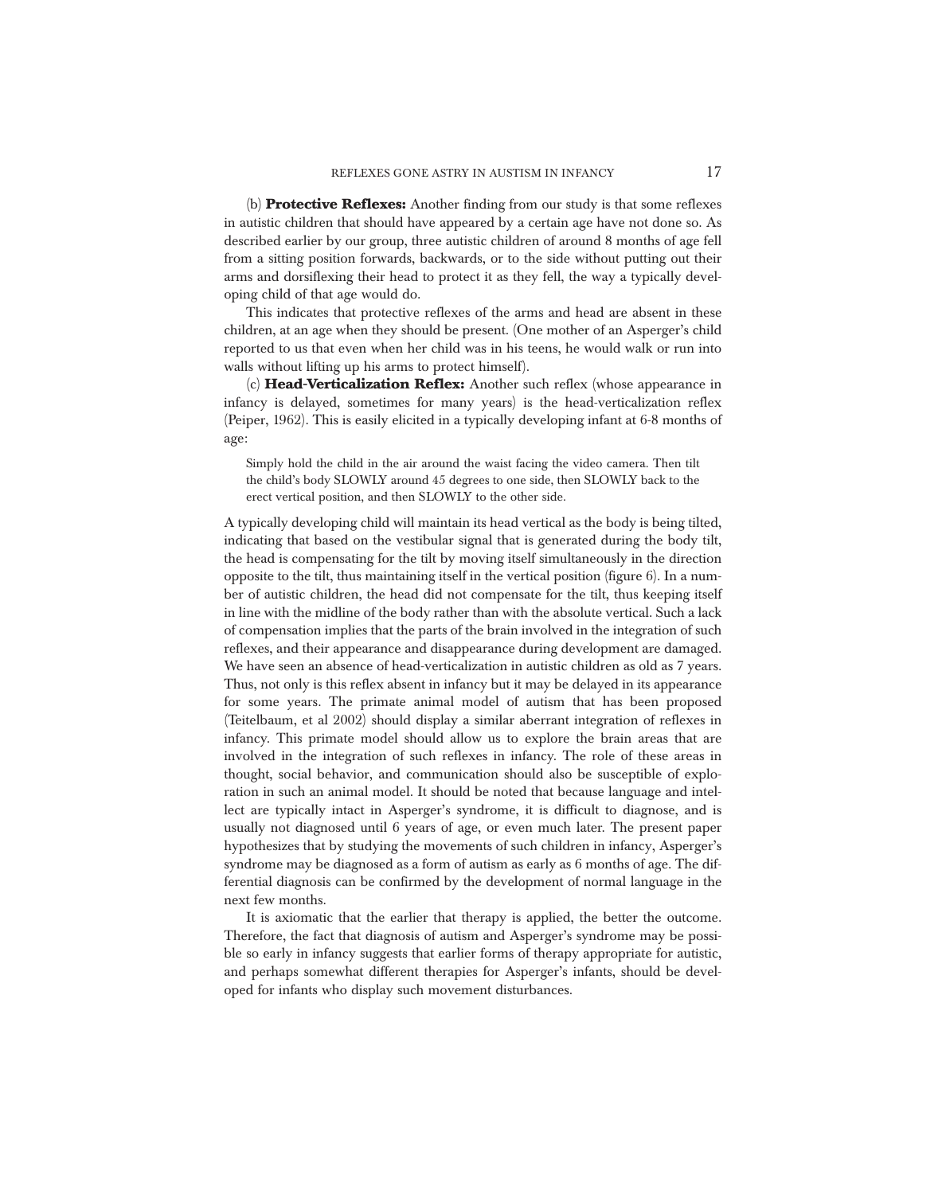(b) **Protective Reflexes:** Another finding from our study is that some reflexes in autistic children that should have appeared by a certain age have not done so. As described earlier by our group, three autistic children of around 8 months of age fell from a sitting position forwards, backwards, or to the side without putting out their arms and dorsiflexing their head to protect it as they fell, the way a typically developing child of that age would do.

This indicates that protective reflexes of the arms and head are absent in these children, at an age when they should be present. (One mother of an Asperger's child reported to us that even when her child was in his teens, he would walk or run into walls without lifting up his arms to protect himself).

(c) **Head-Verticalization Reflex:** Another such reflex (whose appearance in infancy is delayed, sometimes for many years) is the head-verticalization reflex (Peiper, 1962). This is easily elicited in a typically developing infant at 6-8 months of age:

Simply hold the child in the air around the waist facing the video camera. Then tilt the child's body SLOWLY around 45 degrees to one side, then SLOWLY back to the erect vertical position, and then SLOWLY to the other side.

A typically developing child will maintain its head vertical as the body is being tilted, indicating that based on the vestibular signal that is generated during the body tilt, the head is compensating for the tilt by moving itself simultaneously in the direction opposite to the tilt, thus maintaining itself in the vertical position (figure 6). In a number of autistic children, the head did not compensate for the tilt, thus keeping itself in line with the midline of the body rather than with the absolute vertical. Such a lack of compensation implies that the parts of the brain involved in the integration of such reflexes, and their appearance and disappearance during development are damaged. We have seen an absence of head-verticalization in autistic children as old as 7 years. Thus, not only is this reflex absent in infancy but it may be delayed in its appearance for some years. The primate animal model of autism that has been proposed (Teitelbaum, et al 2002) should display a similar aberrant integration of reflexes in infancy. This primate model should allow us to explore the brain areas that are involved in the integration of such reflexes in infancy. The role of these areas in thought, social behavior, and communication should also be susceptible of exploration in such an animal model. It should be noted that because language and intellect are typically intact in Asperger's syndrome, it is difficult to diagnose, and is usually not diagnosed until 6 years of age, or even much later. The present paper hypothesizes that by studying the movements of such children in infancy, Asperger's syndrome may be diagnosed as a form of autism as early as 6 months of age. The differential diagnosis can be confirmed by the development of normal language in the next few months.

It is axiomatic that the earlier that therapy is applied, the better the outcome. Therefore, the fact that diagnosis of autism and Asperger's syndrome may be possible so early in infancy suggests that earlier forms of therapy appropriate for autistic, and perhaps somewhat different therapies for Asperger's infants, should be developed for infants who display such movement disturbances.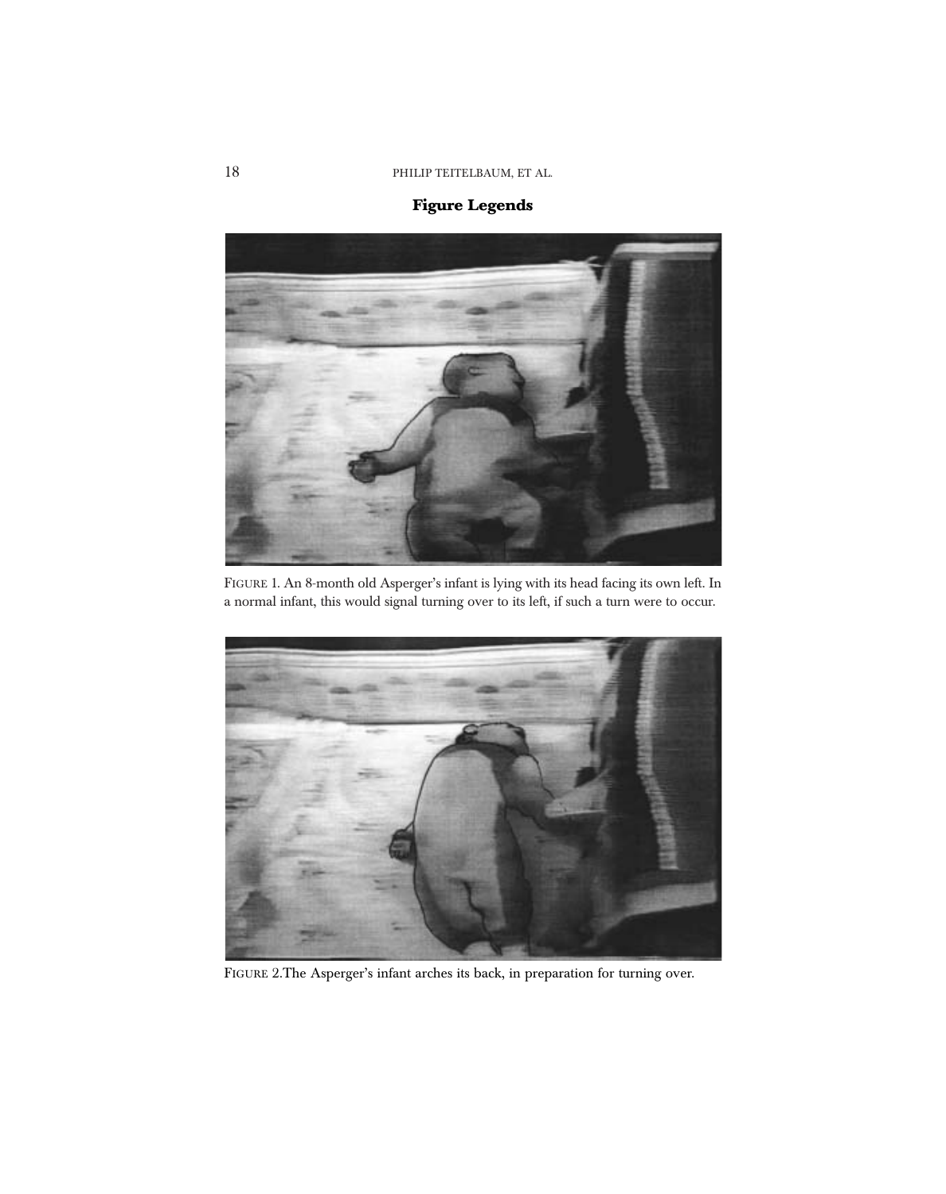# **Figure Legends**



FIGURE 1. An 8-month old Asperger's infant is lying with its head facing its own left. In a normal infant, this would signal turning over to its left, if such a turn were to occur.



FIGURE 2.The Asperger's infant arches its back, in preparation for turning over.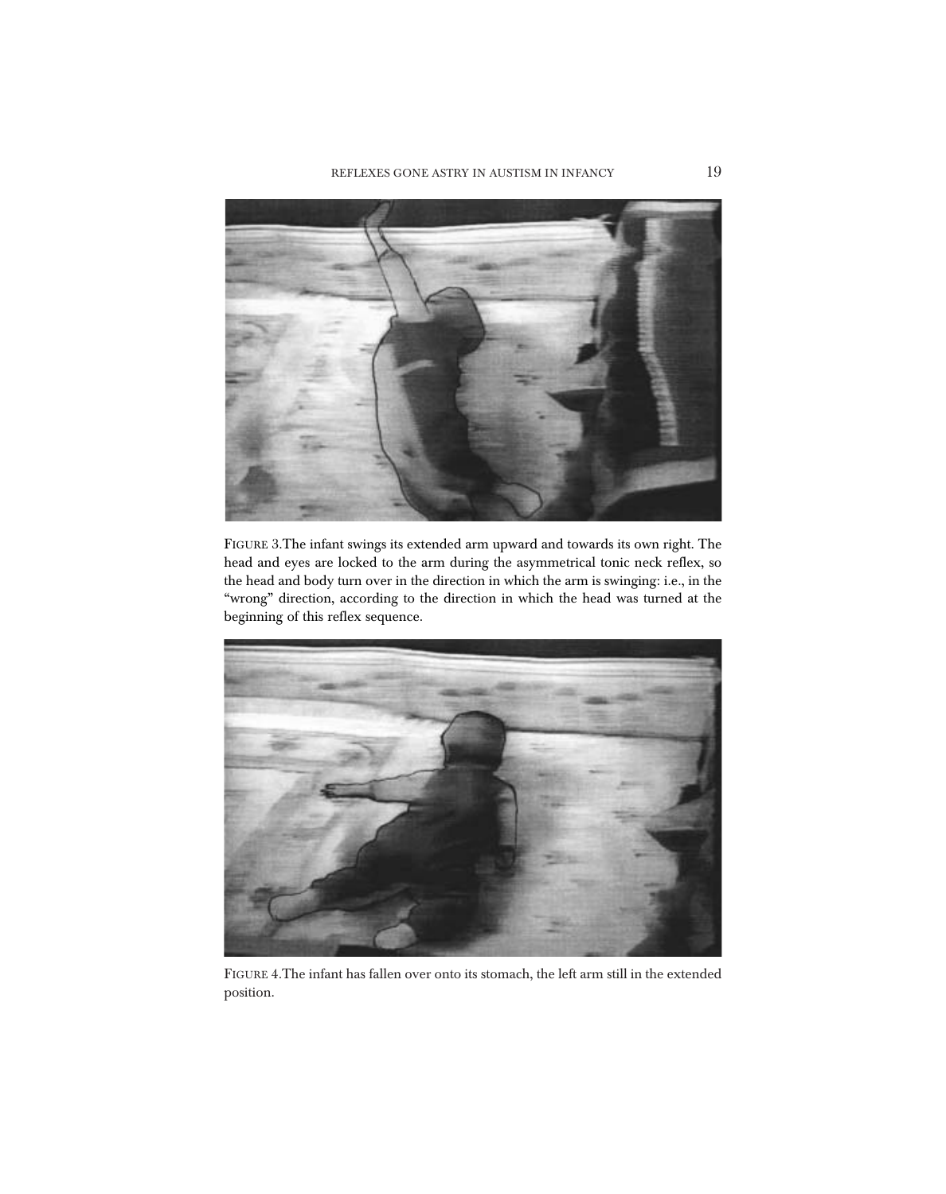

FIGURE 3.The infant swings its extended arm upward and towards its own right. The head and eyes are locked to the arm during the asymmetrical tonic neck reflex, so the head and body turn over in the direction in which the arm is swinging: i.e., in the "wrong" direction, according to the direction in which the head was turned at the beginning of this reflex sequence.



FIGURE 4.The infant has fallen over onto its stomach, the left arm still in the extended position.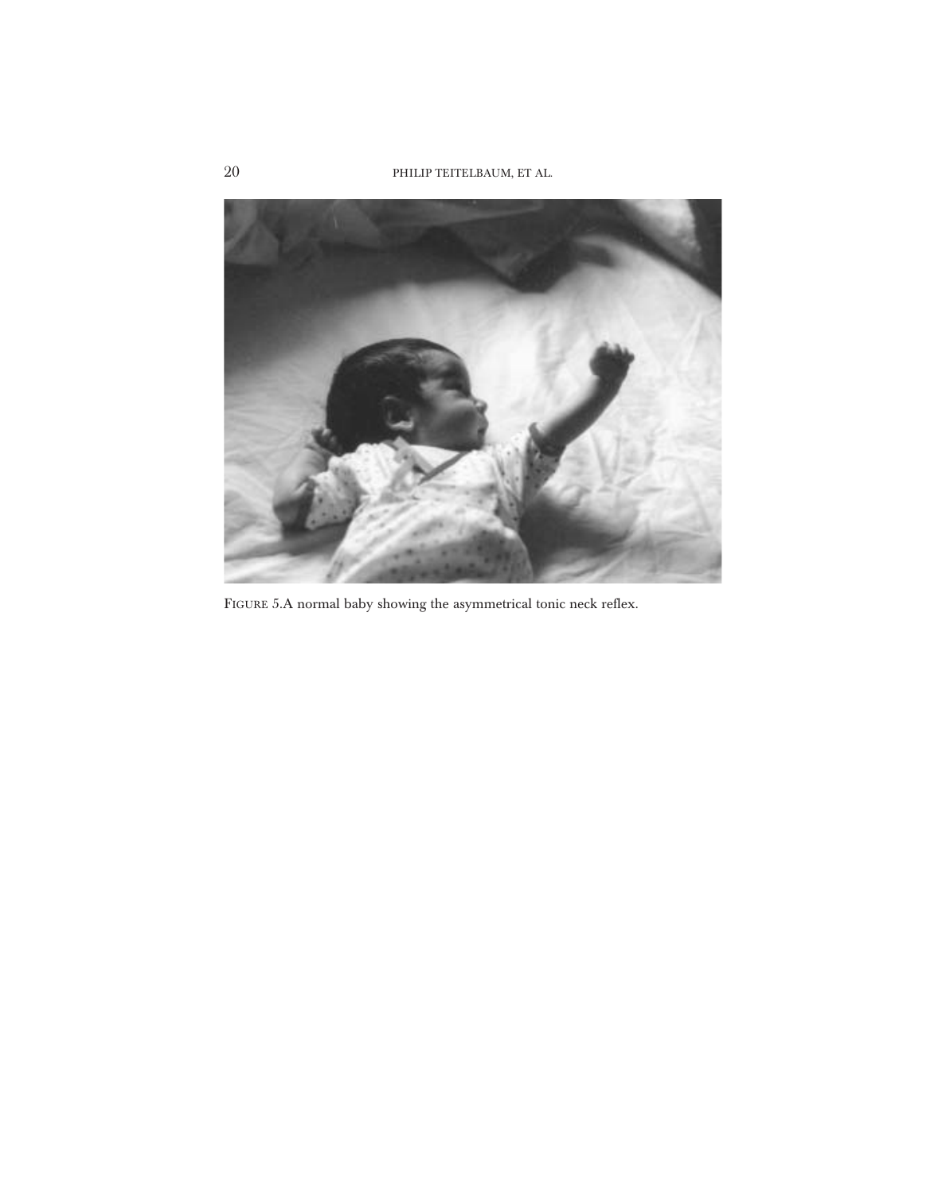

FIGURE 5.A normal baby showing the asymmetrical tonic neck reflex.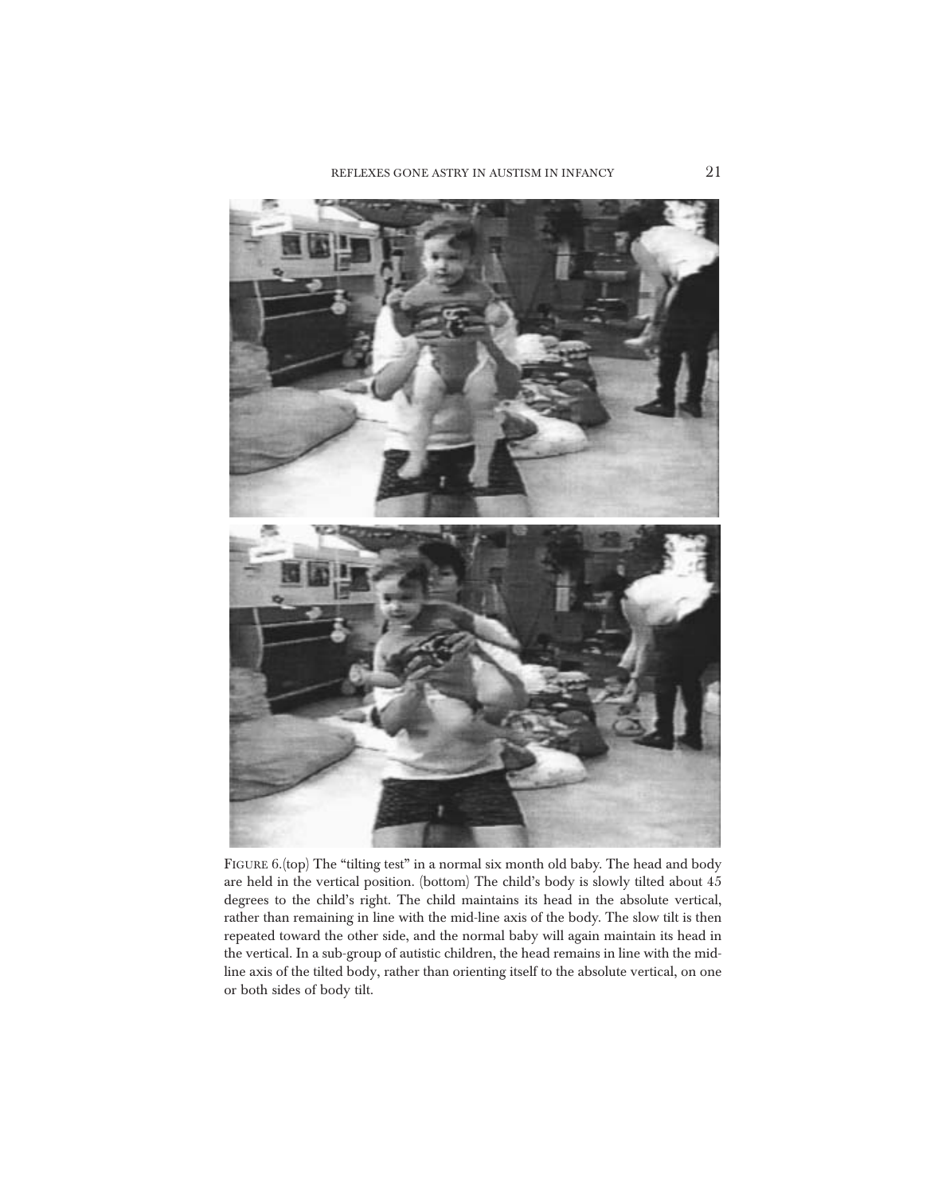

FIGURE 6.(top) The "tilting test" in a normal six month old baby. The head and body are held in the vertical position. (bottom) The child's body is slowly tilted about 45 degrees to the child's right. The child maintains its head in the absolute vertical, rather than remaining in line with the mid-line axis of the body. The slow tilt is then repeated toward the other side, and the normal baby will again maintain its head in the vertical. In a sub-group of autistic children, the head remains in line with the midline axis of the tilted body, rather than orienting itself to the absolute vertical, on one or both sides of body tilt.